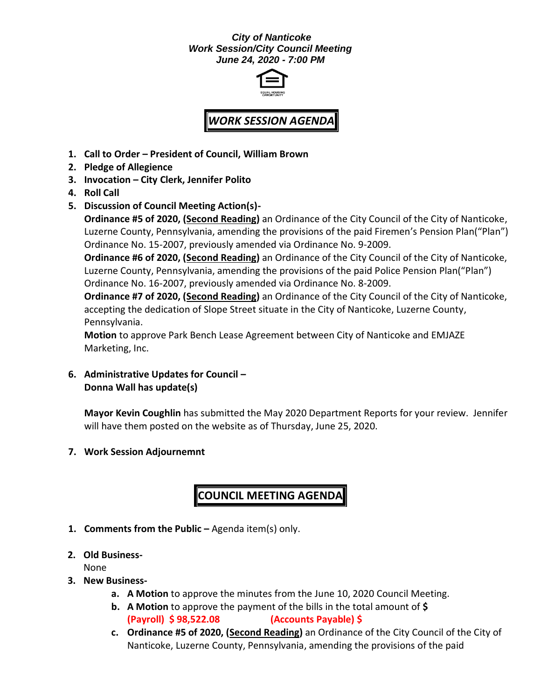#### *City of Nanticoke Work Session/City Council Meeting June 24, 2020 - 7:00 PM*



# *WORK SESSION AGENDA*

- **1. Call to Order – President of Council, William Brown**
- **2. Pledge of Allegience**
- **3. Invocation – City Clerk, Jennifer Polito**
- **4. Roll Call**
- **5. Discussion of Council Meeting Action(s)-**

**Ordinance #5 of 2020, (Second Reading)** an Ordinance of the City Council of the City of Nanticoke, Luzerne County, Pennsylvania, amending the provisions of the paid Firemen's Pension Plan("Plan") Ordinance No. 15-2007, previously amended via Ordinance No. 9-2009.

**Ordinance #6 of 2020, (Second Reading)** an Ordinance of the City Council of the City of Nanticoke, Luzerne County, Pennsylvania, amending the provisions of the paid Police Pension Plan("Plan") Ordinance No. 16-2007, previously amended via Ordinance No. 8-2009.

**Ordinance #7 of 2020, (Second Reading)** an Ordinance of the City Council of the City of Nanticoke, accepting the dedication of Slope Street situate in the City of Nanticoke, Luzerne County, Pennsylvania.

**Motion** to approve Park Bench Lease Agreement between City of Nanticoke and EMJAZE Marketing, Inc.

**6. Administrative Updates for Council – Donna Wall has update(s)**

**Mayor Kevin Coughlin** has submitted the May 2020 Department Reports for your review. Jennifer will have them posted on the website as of Thursday, June 25, 2020.

**7. Work Session Adjournemnt**

## **COUNCIL MEETING AGENDA**

- **1. Comments from the Public –** Agenda item(s) only.
- **2. Old Business-**

None

- **3. New Business**
	- **a. A Motion** to approve the minutes from the June 10, 2020 Council Meeting.
	- **b. A Motion** to approve the payment of the bills in the total amount of **\$ (Payroll) \$ 98,522.08 (Accounts Payable) \$**
	- **c. Ordinance #5 of 2020, (Second Reading)** an Ordinance of the City Council of the City of Nanticoke, Luzerne County, Pennsylvania, amending the provisions of the paid